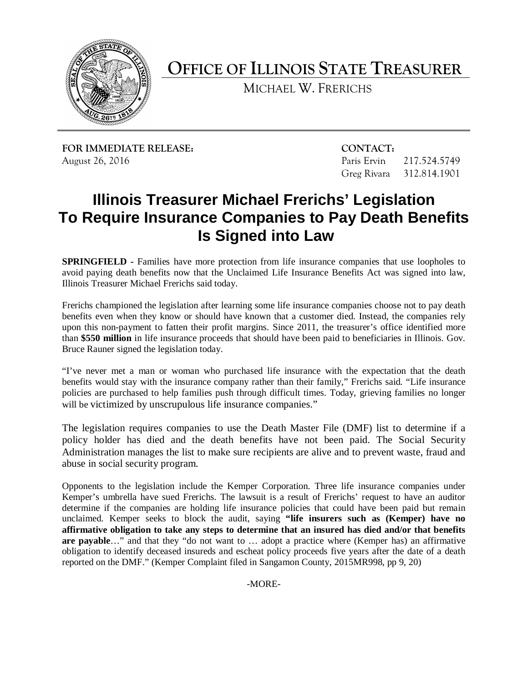

**OFFICE OF ILLINOIS STATE TREASURER**

MICHAEL W. FRERICHS

**FOR IMMEDIATE RELEASE: CONTACT:** August 26, 2016 **Paris Ervin 217.524.5749** Paris Ervin 217.524.5749

Greg Rivara 312.814.1901

## **Illinois Treasurer Michael Frerichs' Legislation To Require Insurance Companies to Pay Death Benefits Is Signed into Law**

**SPRINGFIELD -** Families have more protection from life insurance companies that use loopholes to avoid paying death benefits now that the Unclaimed Life Insurance Benefits Act was signed into law, Illinois Treasurer Michael Frerichs said today.

Frerichs championed the legislation after learning some life insurance companies choose not to pay death benefits even when they know or should have known that a customer died. Instead, the companies rely upon this non-payment to fatten their profit margins. Since 2011, the treasurer's office identified more than **\$550 million** in life insurance proceeds that should have been paid to beneficiaries in Illinois. Gov. Bruce Rauner signed the legislation today.

"I've never met a man or woman who purchased life insurance with the expectation that the death benefits would stay with the insurance company rather than their family," Frerichs said. "Life insurance policies are purchased to help families push through difficult times. Today, grieving families no longer will be victimized by unscrupulous life insurance companies."

The legislation requires companies to use the Death Master File (DMF) list to determine if a policy holder has died and the death benefits have not been paid. The Social Security Administration manages the list to make sure recipients are alive and to prevent waste, fraud and abuse in social security program.

Opponents to the legislation include the Kemper Corporation. Three life insurance companies under Kemper's umbrella have sued Frerichs. The lawsuit is a result of Frerichs' request to have an auditor determine if the companies are holding life insurance policies that could have been paid but remain unclaimed. Kemper seeks to block the audit, saying **"life insurers such as (Kemper) have no affirmative obligation to take any steps to determine that an insured has died and/or that benefits are payable**…" and that they "do not want to … adopt a practice where (Kemper has) an affirmative obligation to identify deceased insureds and escheat policy proceeds five years after the date of a death reported on the DMF." (Kemper Complaint filed in Sangamon County, 2015MR998, pp 9, 20)

-MORE-